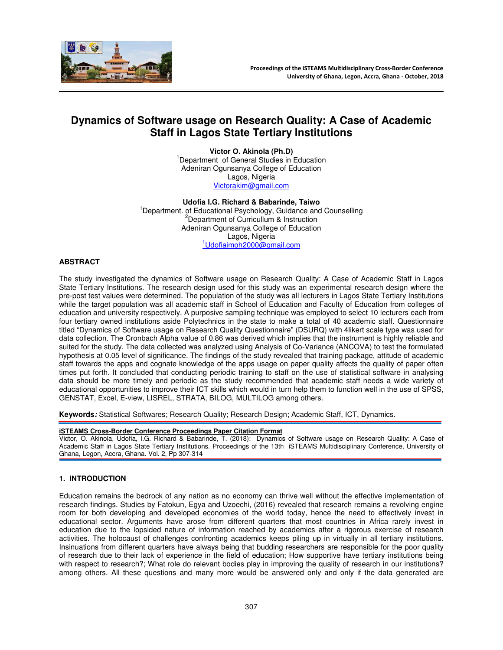

# **Dynamics of Software usage on Research Quality: A Case of Academic Staff in Lagos State Tertiary Institutions**

**Victor O. Akinola (Ph.D)**  <sup>1</sup>Department of General Studies in Education Adeniran Ogunsanya College of Education Lagos, Nigeria Victorakim@gmail.com

**Udofia I.G. Richard & Babarinde, Taiwo**  <sup>1</sup>Department. of Educational Psychology, Guidance and Counselling <sup>2</sup>Department of Curricullum & Instruction Adeniran Ogunsanya College of Education Lagos, Nigeria <sup>1</sup>Udofiaimoh2000@gmail.com

# **ABSTRACT**

The study investigated the dynamics of Software usage on Research Quality: A Case of Academic Staff in Lagos State Tertiary Institutions. The research design used for this study was an experimental research design where the pre-post test values were determined. The population of the study was all lecturers in Lagos State Tertiary Institutions while the target population was all academic staff in School of Education and Faculty of Education from colleges of education and university respectively. A purposive sampling technique was employed to select 10 lecturers each from four tertiary owned institutions aside Polytechnics in the state to make a total of 40 academic staff. Questionnaire titled "Dynamics of Software usage on Research Quality Questionnaire" (DSURQ) with 4likert scale type was used for data collection. The Cronbach Alpha value of 0.86 was derived which implies that the instrument is highly reliable and suited for the study. The data collected was analyzed using Analysis of Co-Variance (ANCOVA) to test the formulated hypothesis at 0.05 level of significance. The findings of the study revealed that training package, attitude of academic staff towards the apps and cognate knowledge of the apps usage on paper quality affects the quality of paper often times put forth. It concluded that conducting periodic training to staff on the use of statistical software in analysing data should be more timely and periodic as the study recommended that academic staff needs a wide variety of educational opportunities to improve their ICT skills which would in turn help them to function well in the use of SPSS, GENSTAT, Excel, E-view, LISREL, STRATA, BILOG, MULTILOG among others.

**Keywords:** Statistical Softwares; Research Quality; Research Design; Academic Staff, ICT, Dynamics.

#### **iSTEAMS Cross-Border Conference Proceedings Paper Citation Format**

Victor, O. Akinola, Udofia, I.G. Richard & Babarinde, T. (2018): Dynamics of Software usage on Research Quality: A Case of Academic Staff in Lagos State Tertiary Institutions. Proceedings of the 13th iSTEAMS Multidisciplinary Conference, University of Ghana, Legon, Accra, Ghana. Vol. 2, Pp 307-314

# **1. INTRODUCTION**

Education remains the bedrock of any nation as no economy can thrive well without the effective implementation of research findings. Studies by Fatokun, Egya and Uzoechi, (2016) revealed that research remains a revolving engine room for both developing and developed economies of the world today, hence the need to effectively invest in educational sector. Arguments have arose from different quarters that most countries in Africa rarely invest in education due to the lopsided nature of information reached by academics after a rigorous exercise of research activities. The holocaust of challenges confronting academics keeps piling up in virtually in all tertiary institutions. Insinuations from different quarters have always being that budding researchers are responsible for the poor quality of research due to their lack of experience in the field of education; How supportive have tertiary institutions being with respect to research?; What role do relevant bodies play in improving the quality of research in our institutions? among others. All these questions and many more would be answered only and only if the data generated are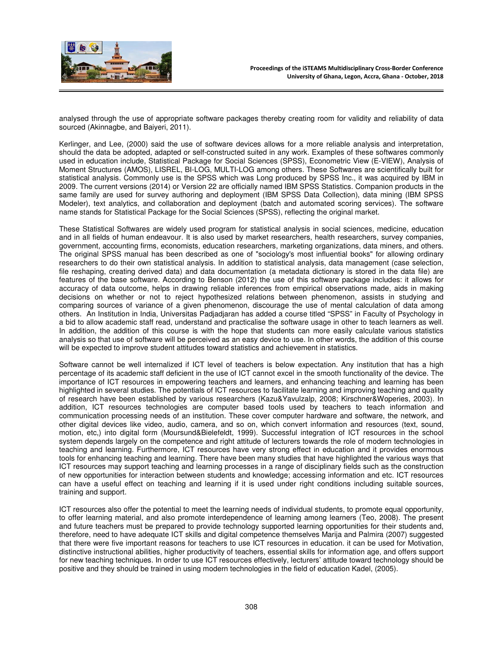

analysed through the use of appropriate software packages thereby creating room for validity and reliability of data sourced (Akinnagbe, and Baiyeri, 2011).

Kerlinger, and Lee, (2000) said the use of software devices allows for a more reliable analysis and interpretation, should the data be adopted, adapted or self-constructed suited in any work. Examples of these softwares commonly used in education include, Statistical Package for Social Sciences (SPSS), Econometric View (E-VIEW), Analysis of Moment Structures (AMOS), LISREL, BI-LOG, MULTI-LOG among others. These Softwares are scientifically built for statistical analysis. Commonly use is the SPSS which was Long produced by SPSS Inc., it was acquired by IBM in 2009. The current versions (2014) or Version 22 are officially named IBM SPSS Statistics. Companion products in the same family are used for survey authoring and deployment (IBM SPSS Data Collection), data mining (IBM SPSS Modeler), text analytics, and collaboration and deployment (batch and automated scoring services). The software name stands for Statistical Package for the Social Sciences (SPSS), reflecting the original market.

These Statistical Softwares are widely used program for statistical analysis in social sciences, medicine, education and in all fields of human endeavour. It is also used by market researchers, health researchers, survey companies, government, accounting firms, economists, education researchers, marketing organizations, data miners, and others. The original SPSS manual has been described as one of "sociology's most influential books" for allowing ordinary researchers to do their own statistical analysis. In addition to statistical analysis, data management (case selection, file reshaping, creating derived data) and data documentation (a metadata dictionary is stored in the data file) are features of the base software. According to Benson (2012) the use of this software package includes: it allows for accuracy of data outcome, helps in drawing reliable inferences from empirical observations made, aids in making decisions on whether or not to reject hypothesized relations between phenomenon, assists in studying and comparing sources of variance of a given phenomenon, discourage the use of mental calculation of data among others. An Institution in India, Universitas Padjadjaran has added a course titled "SPSS" in Faculty of Psychology in a bid to allow academic staff read, understand and practicalise the software usage in other to teach learners as well. In addition, the addition of this course is with the hope that students can more easily calculate various statistics analysis so that use of software will be perceived as an easy device to use. In other words, the addition of this course will be expected to improve student attitudes toward statistics and achievement in statistics.

Software cannot be well internalized if ICT level of teachers is below expectation. Any institution that has a high percentage of its academic staff deficient in the use of ICT cannot excel in the smooth functionality of the device. The importance of ICT resources in empowering teachers and learners, and enhancing teaching and learning has been highlighted in several studies. The potentials of ICT resources to facilitate learning and improving teaching and quality of research have been established by various researchers (Kazu&Yavulzalp, 2008; Kirschner&Woperies, 2003). In addition, ICT resources technologies are computer based tools used by teachers to teach information and communication processing needs of an institution. These cover computer hardware and software, the network, and other digital devices like video, audio, camera, and so on, which convert information and resources (text, sound, motion, etc,) into digital form (Moursund&Bielefeldt, 1999). Successful integration of ICT resources in the school system depends largely on the competence and right attitude of lecturers towards the role of modern technologies in teaching and learning. Furthermore, ICT resources have very strong effect in education and it provides enormous tools for enhancing teaching and learning. There have been many studies that have highlighted the various ways that ICT resources may support teaching and learning processes in a range of disciplinary fields such as the construction of new opportunities for interaction between students and knowledge; accessing information and etc. ICT resources can have a useful effect on teaching and learning if it is used under right conditions including suitable sources, training and support.

ICT resources also offer the potential to meet the learning needs of individual students, to promote equal opportunity, to offer learning material, and also promote interdependence of learning among learners (Teo, 2008). The present and future teachers must be prepared to provide technology supported learning opportunities for their students and, therefore, need to have adequate ICT skills and digital competence themselves Marija and Palmira (2007) suggested that there were five important reasons for teachers to use ICT resources in education. it can be used for Motivation, distinctive instructional abilities, higher productivity of teachers, essential skills for information age, and offers support for new teaching techniques. In order to use ICT resources effectively, lecturers' attitude toward technology should be positive and they should be trained in using modern technologies in the field of education Kadel, (2005).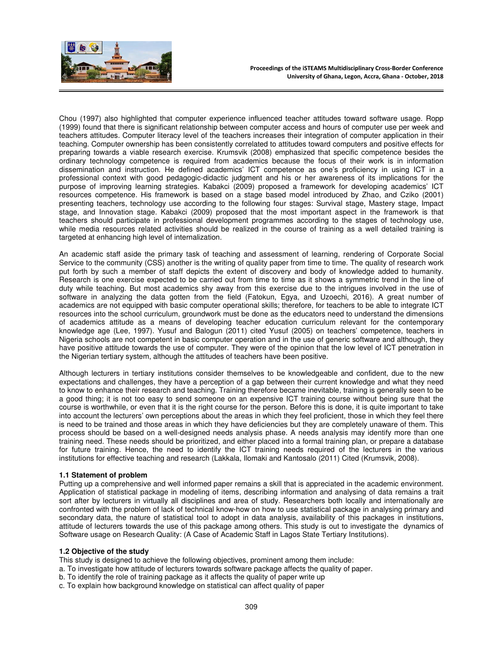

Chou (1997) also highlighted that computer experience influenced teacher attitudes toward software usage. Ropp (1999) found that there is significant relationship between computer access and hours of computer use per week and teachers attitudes. Computer literacy level of the teachers increases their integration of computer application in their teaching. Computer ownership has been consistently correlated to attitudes toward computers and positive effects for preparing towards a viable research exercise. Krumsvik (2008) emphasized that specific competence besides the ordinary technology competence is required from academics because the focus of their work is in information dissemination and instruction. He defined academics' ICT competence as one's proficiency in using ICT in a professional context with good pedagogic-didactic judgment and his or her awareness of its implications for the purpose of improving learning strategies. Kabakci (2009) proposed a framework for developing academics' ICT resources competence. His framework is based on a stage based model introduced by Zhao, and Cziko (2001) presenting teachers, technology use according to the following four stages: Survival stage, Mastery stage, Impact stage, and Innovation stage. Kabakci (2009) proposed that the most important aspect in the framework is that teachers should participate in professional development programmes according to the stages of technology use, while media resources related activities should be realized in the course of training as a well detailed training is targeted at enhancing high level of internalization.

An academic staff aside the primary task of teaching and assessment of learning, rendering of Corporate Social Service to the community (CSS) another is the writing of quality paper from time to time. The quality of research work put forth by such a member of staff depicts the extent of discovery and body of knowledge added to humanity. Research is one exercise expected to be carried out from time to time as it shows a symmetric trend in the line of duty while teaching. But most academics shy away from this exercise due to the intrigues involved in the use of software in analyzing the data gotten from the field (Fatokun, Egya, and Uzoechi, 2016). A great number of academics are not equipped with basic computer operational skills; therefore, for teachers to be able to integrate ICT resources into the school curriculum, groundwork must be done as the educators need to understand the dimensions of academics attitude as a means of developing teacher education curriculum relevant for the contemporary knowledge age (Lee, 1997). Yusuf and Balogun (2011) cited Yusuf (2005) on teachers' competence, teachers in Nigeria schools are not competent in basic computer operation and in the use of generic software and although, they have positive attitude towards the use of computer. They were of the opinion that the low level of ICT penetration in the Nigerian tertiary system, although the attitudes of teachers have been positive.

Although lecturers in tertiary institutions consider themselves to be knowledgeable and confident, due to the new expectations and challenges, they have a perception of a gap between their current knowledge and what they need to know to enhance their research and teaching. Training therefore became inevitable, training is generally seen to be a good thing; it is not too easy to send someone on an expensive ICT training course without being sure that the course is worthwhile, or even that it is the right course for the person. Before this is done, it is quite important to take into account the lecturers' own perceptions about the areas in which they feel proficient, those in which they feel there is need to be trained and those areas in which they have deficiencies but they are completely unaware of them. This process should be based on a well-designed needs analysis phase. A needs analysis may identify more than one training need. These needs should be prioritized, and either placed into a formal training plan, or prepare a database for future training. Hence, the need to identify the ICT training needs required of the lecturers in the various institutions for effective teaching and research (Lakkala, Ilomaki and Kantosalo (2011) Cited (Krumsvik, 2008).

## **1.1 Statement of problem**

Putting up a comprehensive and well informed paper remains a skill that is appreciated in the academic environment. Application of statistical package in modeling of items, describing information and analysing of data remains a trait sort after by lecturers in virtually all disciplines and area of study. Researchers both locally and internationally are confronted with the problem of lack of technical know-how on how to use statistical package in analysing primary and secondary data, the nature of statistical tool to adopt in data analysis, availability of this packages in institutions, attitude of lecturers towards the use of this package among others. This study is out to investigate the dynamics of Software usage on Research Quality: (A Case of Academic Staff in Lagos State Tertiary Institutions).

## **1.2 Objective of the study**

This study is designed to achieve the following objectives, prominent among them include:

- a. To investigate how attitude of lecturers towards software package affects the quality of paper.
- b. To identify the role of training package as it affects the quality of paper write up
- c. To explain how background knowledge on statistical can affect quality of paper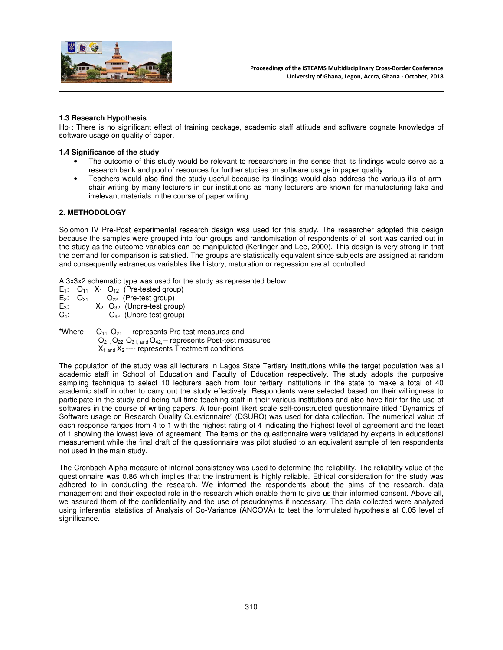

## **1.3 Research Hypothesis**

Ho<sub>1</sub>: There is no significant effect of training package, academic staff attitude and software cognate knowledge of software usage on quality of paper.

## **1.4 Significance of the study**

- The outcome of this study would be relevant to researchers in the sense that its findings would serve as a research bank and pool of resources for further studies on software usage in paper quality.
- Teachers would also find the study useful because its findings would also address the various ills of armchair writing by many lecturers in our institutions as many lecturers are known for manufacturing fake and irrelevant materials in the course of paper writing.

# **2. METHODOLOGY**

Solomon IV Pre-Post experimental research design was used for this study. The researcher adopted this design because the samples were grouped into four groups and randomisation of respondents of all sort was carried out in the study as the outcome variables can be manipulated (Kerlinger and Lee, 2000). This design is very strong in that the demand for comparison is satisfied. The groups are statistically equivalent since subjects are assigned at random and consequently extraneous variables like history, maturation or regression are all controlled.

A 3x3x2 schematic type was used for the study as represented below:

E<sub>1</sub>:  $O_{11}$  X<sub>1</sub>  $O_{12}$  (Pre-tested group)<br>E<sub>2</sub>:  $O_{21}$   $O_{22}$  (Pre-test group)  $E_2$ :  $O_{21}$   $O_{22}$  (Pre-test group)<br> $E_3$ :  $X_2$   $O_{32}$  (Unpre-test grou E<sub>3</sub>:  $X_2 \tO_{32}$  (Unpre-test group)<br>C<sub>4</sub>:  $O_{42}$  (Unpre-test group)  $O_{42}$  (Unpre-test group)

\*Where  $O_{11}$ ,  $O_{21}$  – represents Pre-test measures and  $O_{21}$ ,  $O_{22}$ ,  $O_{31}$ , and  $O_{42}$  – represents Post-test measures  $X_1$  and  $X_2$  ---- represents Treatment conditions

The population of the study was all lecturers in Lagos State Tertiary Institutions while the target population was all academic staff in School of Education and Faculty of Education respectively. The study adopts the purposive sampling technique to select 10 lecturers each from four tertiary institutions in the state to make a total of 40 academic staff in other to carry out the study effectively. Respondents were selected based on their willingness to participate in the study and being full time teaching staff in their various institutions and also have flair for the use of softwares in the course of writing papers. A four-point likert scale self-constructed questionnaire titled "Dynamics of Software usage on Research Quality Questionnaire" (DSURQ) was used for data collection. The numerical value of each response ranges from 4 to 1 with the highest rating of 4 indicating the highest level of agreement and the least of 1 showing the lowest level of agreement. The items on the questionnaire were validated by experts in educational measurement while the final draft of the questionnaire was pilot studied to an equivalent sample of ten respondents not used in the main study.

The Cronbach Alpha measure of internal consistency was used to determine the reliability. The reliability value of the questionnaire was 0.86 which implies that the instrument is highly reliable. Ethical consideration for the study was adhered to in conducting the research. We informed the respondents about the aims of the research, data management and their expected role in the research which enable them to give us their informed consent. Above all, we assured them of the confidentiality and the use of pseudonyms if necessary. The data collected were analyzed using inferential statistics of Analysis of Co-Variance (ANCOVA) to test the formulated hypothesis at 0.05 level of significance.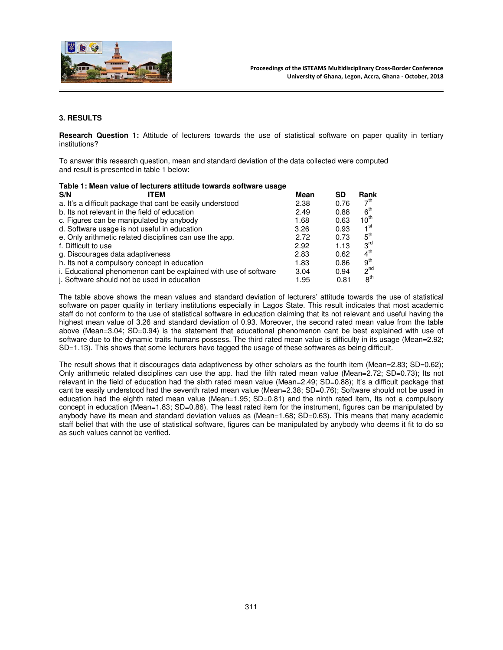

# **3. RESULTS**

**Research Question 1:** Attitude of lecturers towards the use of statistical software on paper quality in tertiary institutions?

To answer this research question, mean and standard deviation of the data collected were computed and result is presented in table 1 below:

| Table 1: Mean value of lecturers attitude towards software usage |      |      |                 |  |  |  |  |
|------------------------------------------------------------------|------|------|-----------------|--|--|--|--|
| S/N<br>ITFM                                                      | Mean | SD   | Rank            |  |  |  |  |
| a. It's a difficult package that cant be easily understood       | 2.38 | 0.76 | 7 <sup>th</sup> |  |  |  |  |
| b. Its not relevant in the field of education                    | 2.49 | 0.88 | 6 <sup>th</sup> |  |  |  |  |
| c. Figures can be manipulated by anybody                         | 1.68 | 0.63 | $10^{th}$       |  |  |  |  |
| d. Software usage is not useful in education                     | 3.26 | 0.93 | 1 <sup>st</sup> |  |  |  |  |
| e. Only arithmetic related disciplines can use the app.          | 2.72 | 0.73 | 5 <sup>th</sup> |  |  |  |  |
| f. Difficult to use                                              | 2.92 | 1.13 | $3^{\text{rd}}$ |  |  |  |  |
| g. Discourages data adaptiveness                                 | 2.83 | 0.62 | 4 <sup>th</sup> |  |  |  |  |
| h. Its not a compulsory concept in education                     | 1.83 | 0.86 | 9 <sup>th</sup> |  |  |  |  |
| i. Educational phenomenon cant be explained with use of software | 3.04 | 0.94 | $2^{nd}$        |  |  |  |  |
| j. Software should not be used in education                      | 1.95 | 0.81 | 8 <sup>th</sup> |  |  |  |  |

The table above shows the mean values and standard deviation of lecturers' attitude towards the use of statistical software on paper quality in tertiary institutions especially in Lagos State. This result indicates that most academic staff do not conform to the use of statistical software in education claiming that its not relevant and useful having the highest mean value of 3.26 and standard deviation of 0.93. Moreover, the second rated mean value from the table above (Mean=3.04; SD=0.94) is the statement that educational phenomenon cant be best explained with use of software due to the dynamic traits humans possess. The third rated mean value is difficulty in its usage (Mean=2.92; SD=1.13). This shows that some lecturers have tagged the usage of these softwares as being difficult.

The result shows that it discourages data adaptiveness by other scholars as the fourth item (Mean=2.83; SD=0.62); Only arithmetic related disciplines can use the app. had the fifth rated mean value (Mean=2.72; SD=0.73); Its not relevant in the field of education had the sixth rated mean value (Mean=2.49; SD=0.88); It's a difficult package that cant be easily understood had the seventh rated mean value (Mean=2.38; SD=0.76); Software should not be used in education had the eighth rated mean value (Mean=1.95; SD=0.81) and the ninth rated item, Its not a compulsory concept in education (Mean=1.83; SD=0.86). The least rated item for the instrument, figures can be manipulated by anybody have its mean and standard deviation values as (Mean=1.68; SD=0.63). This means that many academic staff belief that with the use of statistical software, figures can be manipulated by anybody who deems it fit to do so as such values cannot be verified.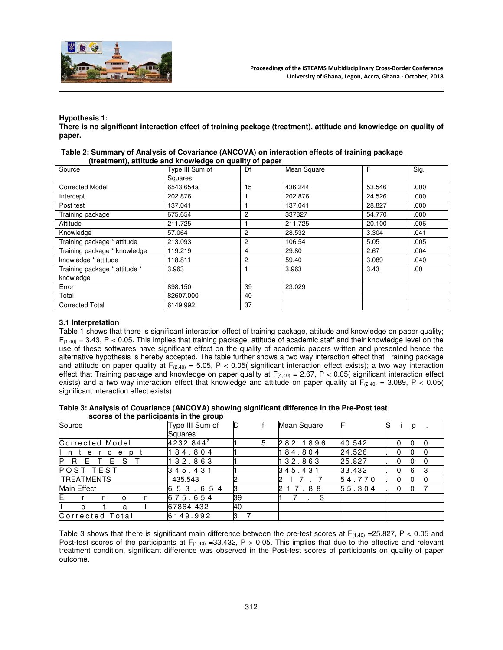

# **Hypothesis 1:**

**There is no significant interaction effect of training package (treatment), attitude and knowledge on quality of paper.** 

| Source                        | Type III Sum of<br>Squares | Df             | Mean Square | F      | Sig. |
|-------------------------------|----------------------------|----------------|-------------|--------|------|
| <b>Corrected Model</b>        | 6543.654a                  | 15             | 436.244     | 53.546 | .000 |
| Intercept                     | 202.876                    |                | 202.876     | 24.526 | .000 |
| Post test                     | 137.041                    |                | 137.041     | 28.827 | .000 |
| Training package              | 675.654                    | $\overline{c}$ | 337827      | 54.770 | .000 |
| Attitude                      | 211.725                    |                | 211.725     | 20.100 | .006 |
| Knowledge                     | 57.064                     | $\overline{c}$ | 28.532      | 3.304  | .041 |
| Training package * attitude   | 213.093                    | $\overline{c}$ | 106.54      | 5.05   | .005 |
| Training package * knowledge  | 119.219                    | 4              | 29.80       | 2.67   | .004 |
| knowledge * attitude          | 118.811                    | $\overline{c}$ | 59.40       | 3.089  | .040 |
| Training package * attitude * | 3.963                      |                | 3.963       | 3.43   | .00. |
| knowledge                     |                            |                |             |        |      |
| Error                         | 898.150                    | 39             | 23.029      |        |      |
| Total                         | 82607.000                  | 40             |             |        |      |
| <b>Corrected Total</b>        | 6149.992                   | 37             |             |        |      |

| Table 2: Summary of Analysis of Covariance (ANCOVA) on interaction effects of training package |  |
|------------------------------------------------------------------------------------------------|--|
| (treatment), attitude and knowledge on quality of paper                                        |  |

## **3.1 Interpretation**

Table 1 shows that there is significant interaction effect of training package, attitude and knowledge on paper quality;  $F_{(1,40)} = 3.43$ , P < 0.05. This implies that training package, attitude of academic staff and their knowledge level on the use of these softwares have significant effect on the quality of academic papers written and presented hence the alternative hypothesis is hereby accepted. The table further shows a two way interaction effect that Training package and attitude on paper quality at  $F_{(2,40)} = 5.05$ , P < 0.05( significant interaction effect exists); a two way interaction effect that Training package and knowledge on paper quality at  $F_{(4,40)} = 2.67$ , P < 0.05( significant interaction effect exists) and a two way interaction effect that knowledge and attitude on paper quality at  $F_{(2,40)} = 3.089$ , P < 0.05( significant interaction effect exists).

#### **Table 3: Analysis of Covariance (ANCOVA) showing significant difference in the Pre-Post test scores of the participants in the group**

| Source                 | Type III Sum of | D  | Mean Square |        | lS<br>g     |
|------------------------|-----------------|----|-------------|--------|-------------|
|                        | Squares         |    |             |        |             |
| Corrected Model        | $4232.844^a$    | 5  | 282.1896    | 40.542 | 0<br>0<br>0 |
| n<br>p<br>e<br>C<br>e  | 84.804          |    | 184.804     | 24.526 | 0<br>0      |
| P<br>R.<br>Е<br>S<br>E | 32.863          |    | 132.863     | 25.827 |             |
| POST TEST              | 345.431         |    | 345.431     | 33.432 | 6           |
| <b>TREATMENTS</b>      | 435.543         |    |             | 54.770 | O<br>0      |
| Main Effect            | 53.654<br>6     |    | 7.88<br>2   | 55.304 | 0<br>0      |
| E.<br>O                | 675.654         | 39 | $\cdot$     |        |             |
| Τ<br>a<br>$\Omega$     | 67864.432       | 40 |             |        |             |
| Corrected Total        | 6149.992        |    |             |        |             |

Table 3 shows that there is significant main difference between the pre-test scores at  $F_{(1,40)} = 25.827$ , P < 0.05 and Post-test scores of the participants at  $F_{(1,40)} = 33.432$ , P > 0.05. This implies that due to the effective and relevant treatment condition, significant difference was observed in the Post-test scores of participants on quality of paper outcome.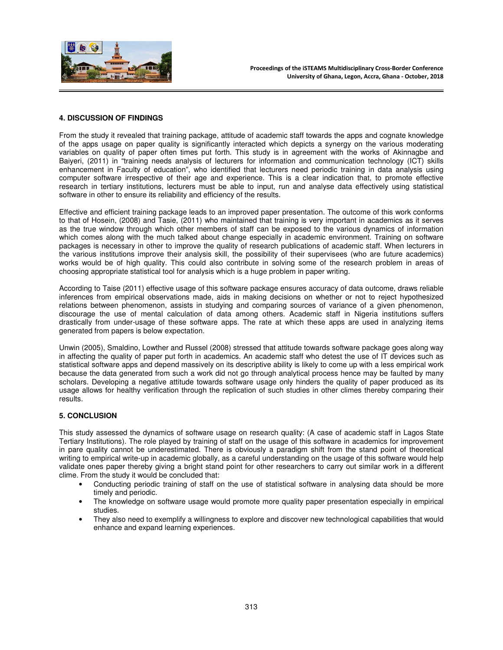

# **4. DISCUSSION OF FINDINGS**

From the study it revealed that training package, attitude of academic staff towards the apps and cognate knowledge of the apps usage on paper quality is significantly interacted which depicts a synergy on the various moderating variables on quality of paper often times put forth. This study is in agreement with the works of Akinnagbe and Baiyeri, (2011) in "training needs analysis of lecturers for information and communication technology (ICT) skills enhancement in Faculty of education", who identified that lecturers need periodic training in data analysis using computer software irrespective of their age and experience. This is a clear indication that, to promote effective research in tertiary institutions, lecturers must be able to input, run and analyse data effectively using statistical software in other to ensure its reliability and efficiency of the results.

Effective and efficient training package leads to an improved paper presentation. The outcome of this work conforms to that of Hosein, (2008) and Tasie, (2011) who maintained that training is very important in academics as it serves as the true window through which other members of staff can be exposed to the various dynamics of information which comes along with the much talked about change especially in academic environment. Training on software packages is necessary in other to improve the quality of research publications of academic staff. When lecturers in the various institutions improve their analysis skill, the possibility of their supervisees (who are future academics) works would be of high quality. This could also contribute in solving some of the research problem in areas of choosing appropriate statistical tool for analysis which is a huge problem in paper writing.

According to Taise (2011) effective usage of this software package ensures accuracy of data outcome, draws reliable inferences from empirical observations made, aids in making decisions on whether or not to reject hypothesized relations between phenomenon, assists in studying and comparing sources of variance of a given phenomenon, discourage the use of mental calculation of data among others. Academic staff in Nigeria institutions suffers drastically from under-usage of these software apps. The rate at which these apps are used in analyzing items generated from papers is below expectation.

Unwin (2005), Smaldino, Lowther and Russel (2008) stressed that attitude towards software package goes along way in affecting the quality of paper put forth in academics. An academic staff who detest the use of IT devices such as statistical software apps and depend massively on its descriptive ability is likely to come up with a less empirical work because the data generated from such a work did not go through analytical process hence may be faulted by many scholars. Developing a negative attitude towards software usage only hinders the quality of paper produced as its usage allows for healthy verification through the replication of such studies in other climes thereby comparing their results.

# **5. CONCLUSION**

This study assessed the dynamics of software usage on research quality: (A case of academic staff in Lagos State Tertiary Institutions). The role played by training of staff on the usage of this software in academics for improvement in pare quality cannot be underestimated. There is obviously a paradigm shift from the stand point of theoretical writing to empirical write-up in academic globally, as a careful understanding on the usage of this software would help validate ones paper thereby giving a bright stand point for other researchers to carry out similar work in a different clime. From the study it would be concluded that:

- Conducting periodic training of staff on the use of statistical software in analysing data should be more timely and periodic.
- The knowledge on software usage would promote more quality paper presentation especially in empirical studies.
- They also need to exemplify a willingness to explore and discover new technological capabilities that would enhance and expand learning experiences.